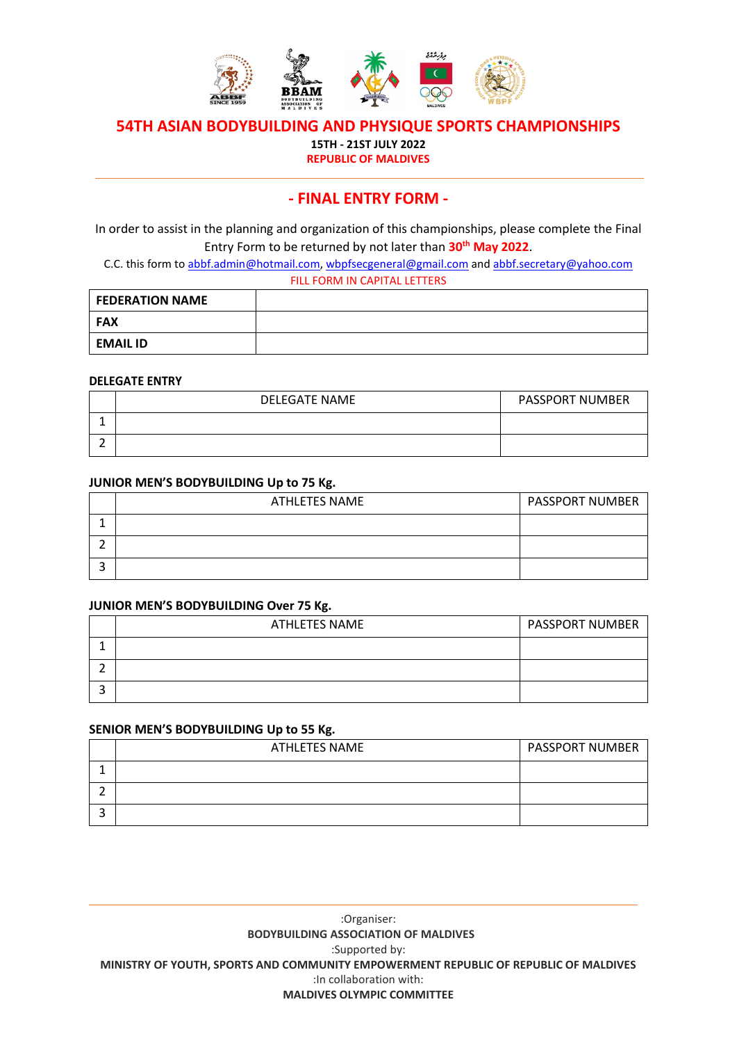

**15TH - 21ST JULY 2022**

**REPUBLIC OF MALDIVES**

# **- FINAL ENTRY FORM -**

In order to assist in the planning and organization of this championships, please complete the Final Entry Form to be returned by not later than **30th May 2022**.

C.C. this form to [abbf.admin@hotmail.com,](mailto:abbf.admin@hotmail.com) wbpfsecgeneral@gmail.com and [abbf.secretary@yahoo.com](mailto:abbf.secretary@yahoo.com) FILL FORM IN CAPITAL LETTERS

| <b>FEDERATION NAME</b> |  |
|------------------------|--|
| <b>FAX</b>             |  |
| <b>EMAIL ID</b>        |  |

#### **DELEGATE ENTRY**

| <b>DELEGATE NAME</b> | <b>PASSPORT NUMBER</b> |
|----------------------|------------------------|
|                      |                        |
|                      |                        |

#### **JUNIOR MEN'S BODYBUILDING Up to 75 Kg.**

| ATHLETES NAME | <b>PASSPORT NUMBER</b> |
|---------------|------------------------|
|               |                        |
|               |                        |
|               |                        |

#### **JUNIOR MEN'S BODYBUILDING Over 75 Kg.**

| <b>ATHLETES NAME</b> | <b>PASSPORT NUMBER</b> |
|----------------------|------------------------|
|                      |                        |
|                      |                        |
|                      |                        |

#### **SENIOR MEN'S BODYBUILDING Up to 55 Kg.**

| <b>ATHLETES NAME</b> | <b>PASSPORT NUMBER</b> |
|----------------------|------------------------|
|                      |                        |
|                      |                        |
|                      |                        |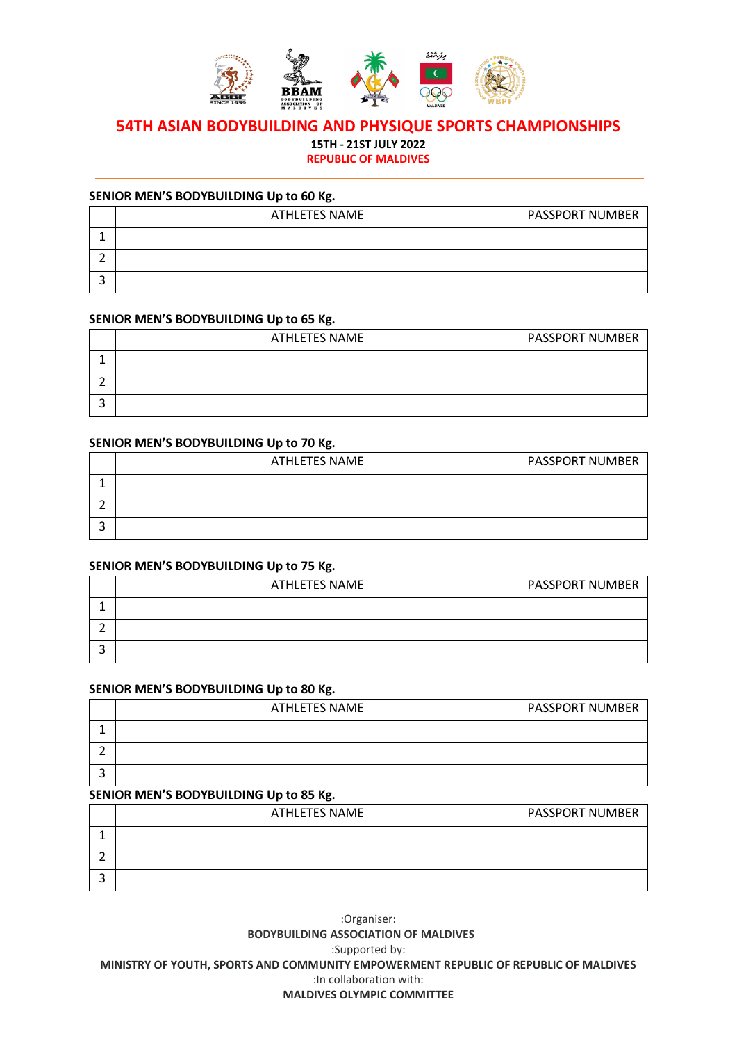

**15TH - 21ST JULY 2022**

**REPUBLIC OF MALDIVES**

### **SENIOR MEN'S BODYBUILDING Up to 60 Kg.**

| ATHLETES NAME | <b>PASSPORT NUMBER</b> |
|---------------|------------------------|
|               |                        |
|               |                        |
|               |                        |

#### **SENIOR MEN'S BODYBUILDING Up to 65 Kg.**

| <b>ATHLETES NAME</b> | <b>PASSPORT NUMBER</b> |
|----------------------|------------------------|
|                      |                        |
|                      |                        |
|                      |                        |

#### **SENIOR MEN'S BODYBUILDING Up to 70 Kg.**

| <b>ATHLETES NAME</b> | <b>PASSPORT NUMBER</b> |
|----------------------|------------------------|
|                      |                        |
|                      |                        |
|                      |                        |

# **SENIOR MEN'S BODYBUILDING Up to 75 Kg.**

| ATHLETES NAME | <b>PASSPORT NUMBER</b> |
|---------------|------------------------|
|               |                        |
|               |                        |
|               |                        |

#### **SENIOR MEN'S BODYBUILDING Up to 80 Kg.**

| ATHLETES NAME | <b>PASSPORT NUMBER</b> |
|---------------|------------------------|
|               |                        |
|               |                        |
|               |                        |

#### **SENIOR MEN'S BODYBUILDING Up to 85 Kg.**

| ATHLETES NAME | <b>PASSPORT NUMBER</b> |
|---------------|------------------------|
|               |                        |
|               |                        |
|               |                        |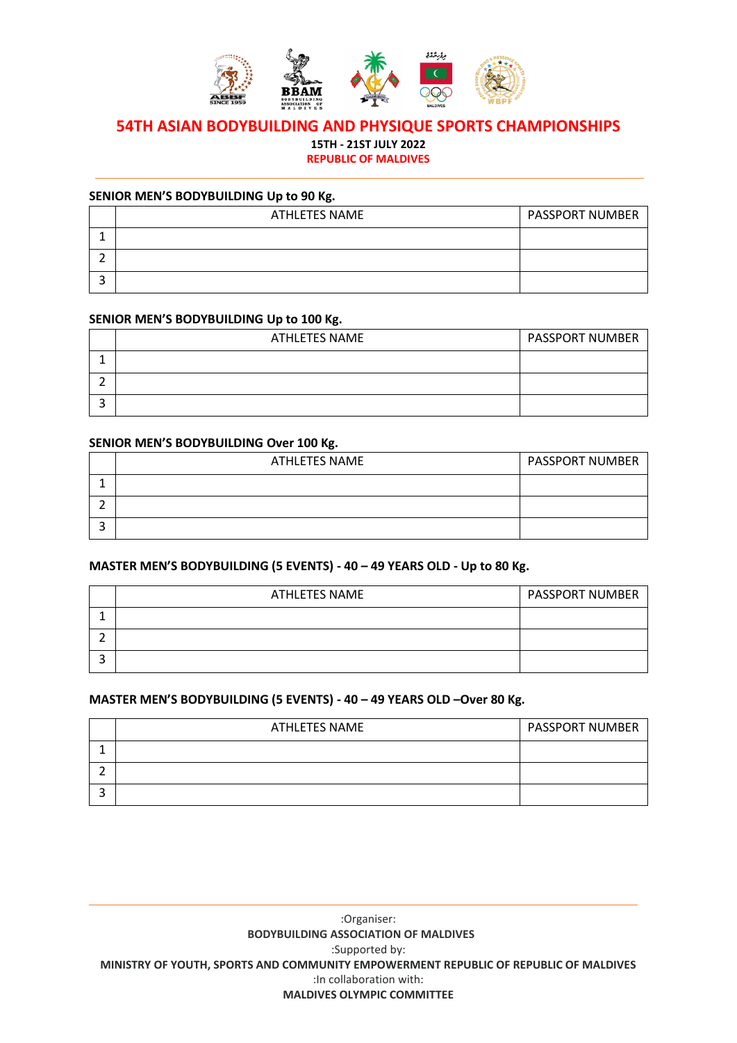

**15TH - 21ST JULY 2022**

**REPUBLIC OF MALDIVES**

### **SENIOR MEN'S BODYBUILDING Up to 90 Kg.**

| ATHLETES NAME | <b>PASSPORT NUMBER</b> |
|---------------|------------------------|
|               |                        |
|               |                        |
|               |                        |

#### **SENIOR MEN'S BODYBUILDING Up to 100 Kg.**

| ATHLETES NAME | <b>PASSPORT NUMBER</b> |
|---------------|------------------------|
|               |                        |
|               |                        |
|               |                        |

#### **SENIOR MEN'S BODYBUILDING Over 100 Kg.**

| <b>ATHLETES NAME</b> | <b>PASSPORT NUMBER</b> |
|----------------------|------------------------|
|                      |                        |
|                      |                        |
|                      |                        |

# **MASTER MEN'S BODYBUILDING (5 EVENTS) - 40 – 49 YEARS OLD - Up to 80 Kg.**

| <b>ATHLETES NAME</b> | <b>PASSPORT NUMBER</b> |
|----------------------|------------------------|
|                      |                        |
|                      |                        |
|                      |                        |

# **MASTER MEN'S BODYBUILDING (5 EVENTS) - 40 – 49 YEARS OLD –Over 80 Kg.**

| <b>ATHLETES NAME</b> | <b>PASSPORT NUMBER</b> |
|----------------------|------------------------|
|                      |                        |
|                      |                        |
|                      |                        |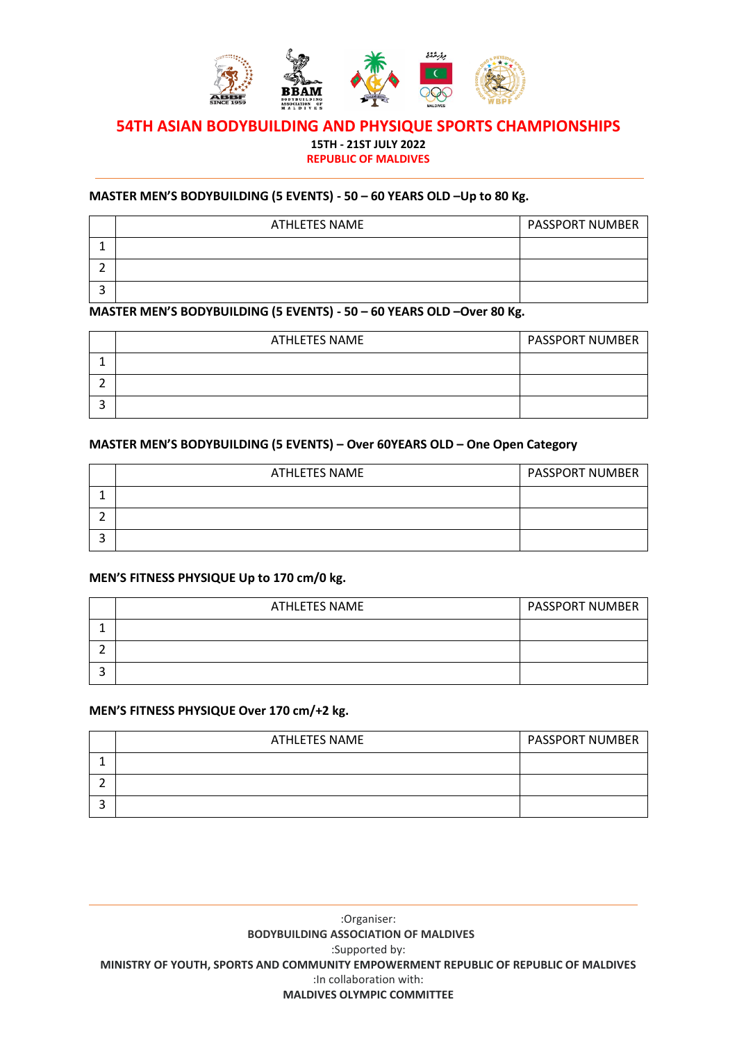

**15TH - 21ST JULY 2022**

# **REPUBLIC OF MALDIVES**

### **MASTER MEN'S BODYBUILDING (5 EVENTS) - 50 – 60 YEARS OLD –Up to 80 Kg.**

| ATHLETES NAME | <b>PASSPORT NUMBER</b> |
|---------------|------------------------|
|               |                        |
|               |                        |
|               |                        |

# **MASTER MEN'S BODYBUILDING (5 EVENTS) - 50 – 60 YEARS OLD –Over 80 Kg.**

| ATHLETES NAME | <b>PASSPORT NUMBER</b> |
|---------------|------------------------|
|               |                        |
|               |                        |
|               |                        |

### **MASTER MEN'S BODYBUILDING (5 EVENTS) – Over 60YEARS OLD – One Open Category**

| <b>ATHLETES NAME</b> | <b>PASSPORT NUMBER</b> |
|----------------------|------------------------|
|                      |                        |
|                      |                        |
|                      |                        |

# **MEN'S FITNESS PHYSIQUE Up to 170 cm/0 kg.**

| ATHLETES NAME | <b>PASSPORT NUMBER</b> |
|---------------|------------------------|
|               |                        |
|               |                        |
|               |                        |

# **MEN'S FITNESS PHYSIQUE Over 170 cm/+2 kg.**

| <b>ATHLETES NAME</b> | <b>PASSPORT NUMBER</b> |
|----------------------|------------------------|
|                      |                        |
|                      |                        |
|                      |                        |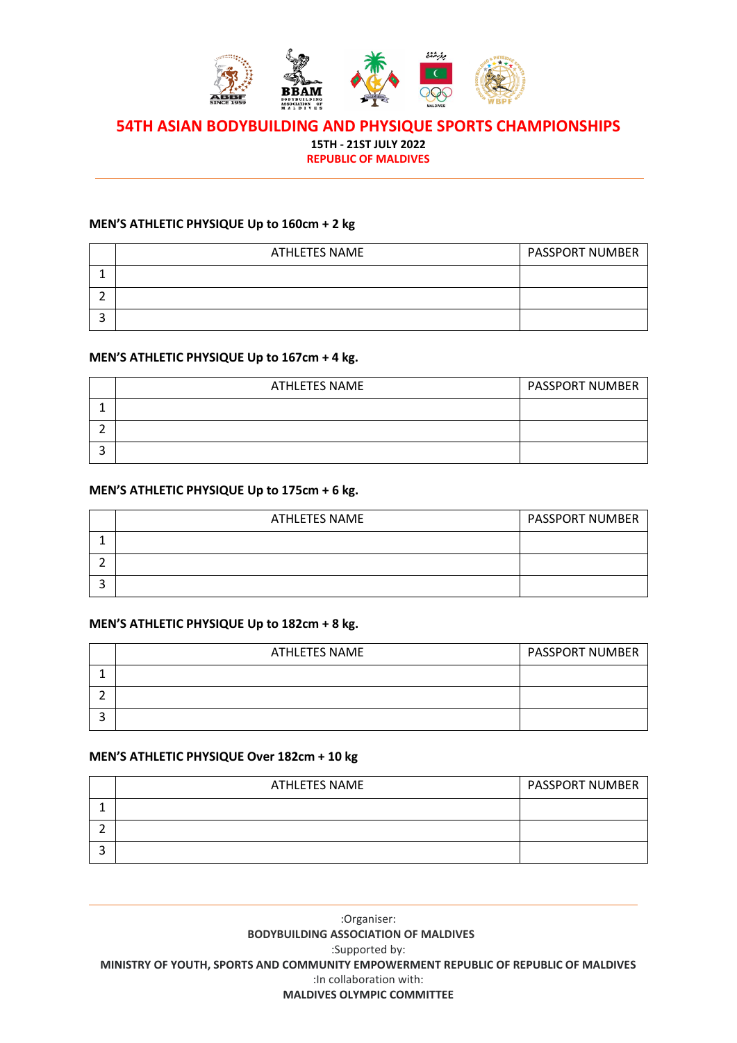

**15TH - 21ST JULY 2022**

**REPUBLIC OF MALDIVES**

# **MEN'S ATHLETIC PHYSIQUE Up to 160cm + 2 kg**

| ATHLETES NAME | <b>PASSPORT NUMBER</b> |
|---------------|------------------------|
|               |                        |
|               |                        |
|               |                        |

#### **MEN'S ATHLETIC PHYSIQUE Up to 167cm + 4 kg.**

| ATHLETES NAME | <b>PASSPORT NUMBER</b> |
|---------------|------------------------|
|               |                        |
|               |                        |
|               |                        |

#### **MEN'S ATHLETIC PHYSIQUE Up to 175cm + 6 kg.**

| <b>ATHLETES NAME</b> | <b>PASSPORT NUMBER</b> |
|----------------------|------------------------|
|                      |                        |
|                      |                        |
|                      |                        |

### **MEN'S ATHLETIC PHYSIQUE Up to 182cm + 8 kg.**

| ATHLETES NAME | <b>PASSPORT NUMBER</b> |
|---------------|------------------------|
|               |                        |
|               |                        |
|               |                        |

# **MEN'S ATHLETIC PHYSIQUE Over 182cm + 10 kg**

| <b>ATHLETES NAME</b> | <b>PASSPORT NUMBER</b> |
|----------------------|------------------------|
|                      |                        |
|                      |                        |
|                      |                        |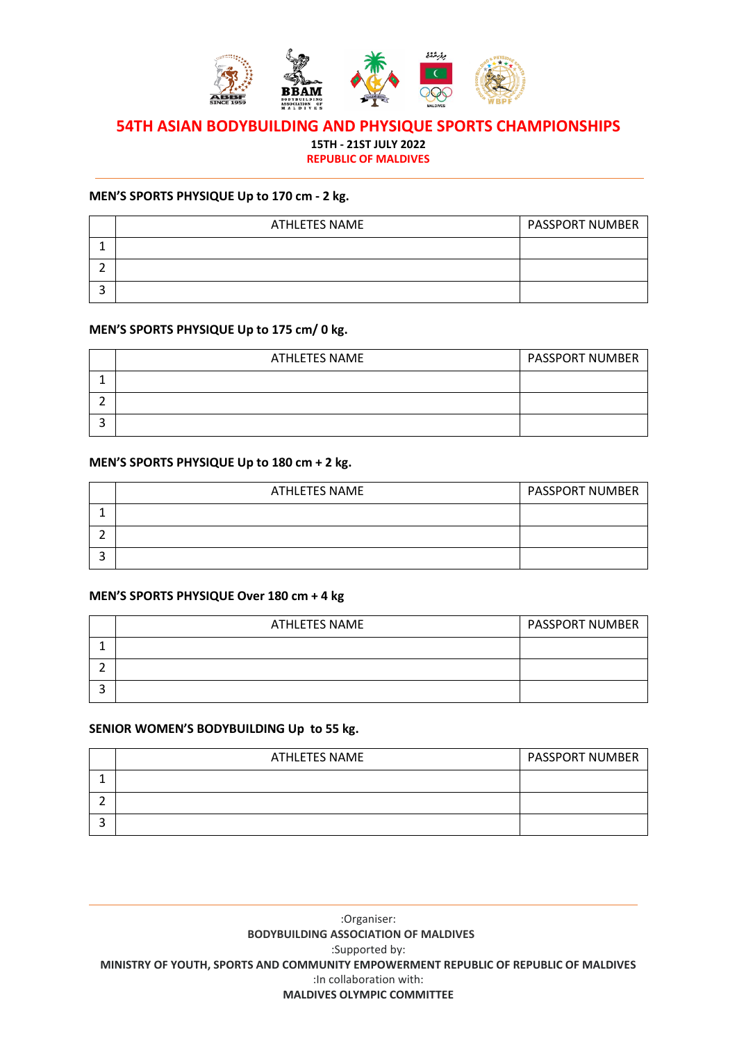

**15TH - 21ST JULY 2022**

**REPUBLIC OF MALDIVES**

#### **MEN'S SPORTS PHYSIQUE Up to 170 cm - 2 kg.**

| <b>ATHLETES NAME</b> | <b>PASSPORT NUMBER</b> |
|----------------------|------------------------|
|                      |                        |
|                      |                        |
|                      |                        |

#### **MEN'S SPORTS PHYSIQUE Up to 175 cm/ 0 kg.**

| <b>ATHLETES NAME</b> | <b>PASSPORT NUMBER</b> |
|----------------------|------------------------|
|                      |                        |
|                      |                        |
|                      |                        |

# **MEN'S SPORTS PHYSIQUE Up to 180 cm + 2 kg.**

| <b>ATHLETES NAME</b> | <b>PASSPORT NUMBER</b> |
|----------------------|------------------------|
|                      |                        |
|                      |                        |
|                      |                        |

#### **MEN'S SPORTS PHYSIQUE Over 180 cm + 4 kg**

| ATHLETES NAME | <b>PASSPORT NUMBER</b> |
|---------------|------------------------|
|               |                        |
|               |                        |
|               |                        |

### **SENIOR WOMEN'S BODYBUILDING Up to 55 kg.**

| ATHLETES NAME | <b>PASSPORT NUMBER</b> |
|---------------|------------------------|
|               |                        |
|               |                        |
|               |                        |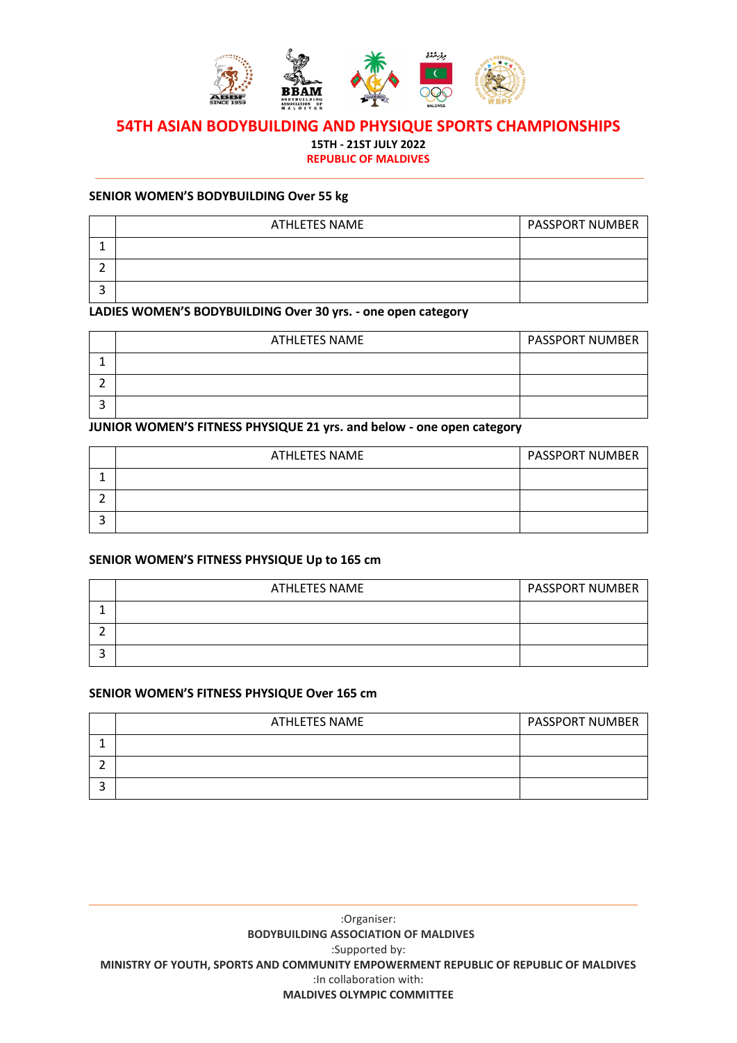

**15TH - 21ST JULY 2022**

**REPUBLIC OF MALDIVES**

#### **SENIOR WOMEN'S BODYBUILDING Over 55 kg**

| <b>ATHLETES NAME</b> | <b>PASSPORT NUMBER</b> |
|----------------------|------------------------|
|                      |                        |
|                      |                        |
|                      |                        |

# **LADIES WOMEN'S BODYBUILDING Over 30 yrs. - one open category**

| <b>ATHLETES NAME</b> | <b>PASSPORT NUMBER</b> |
|----------------------|------------------------|
|                      |                        |
|                      |                        |
|                      |                        |

# **JUNIOR WOMEN'S FITNESS PHYSIQUE 21 yrs. and below - one open category**

| ATHLETES NAME | <b>PASSPORT NUMBER</b> |
|---------------|------------------------|
|               |                        |
|               |                        |
|               |                        |

### **SENIOR WOMEN'S FITNESS PHYSIQUE Up to 165 cm**

| <b>ATHLETES NAME</b> | <b>PASSPORT NUMBER</b> |
|----------------------|------------------------|
|                      |                        |
|                      |                        |
|                      |                        |

### **SENIOR WOMEN'S FITNESS PHYSIQUE Over 165 cm**

| <b>ATHLETES NAME</b> | <b>PASSPORT NUMBER</b> |
|----------------------|------------------------|
|                      |                        |
|                      |                        |
|                      |                        |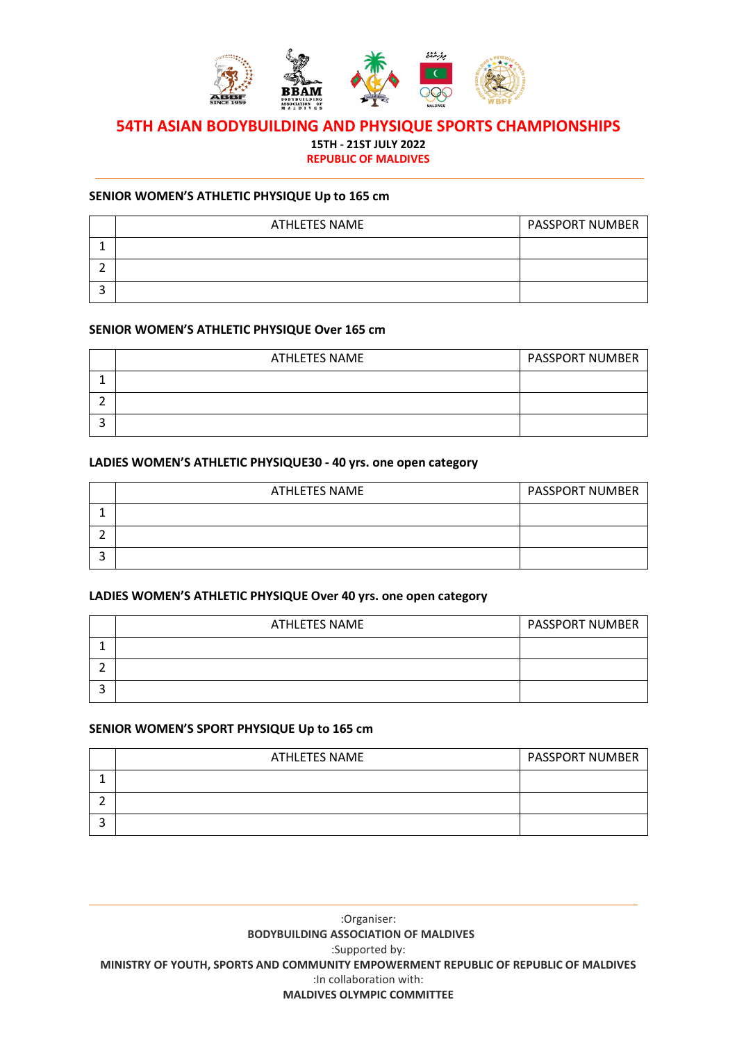

# **54TH ASIAN BODYBUILDING AND PHYSIQUE SPORTS CHAMPIONSHIPS 15TH - 21ST JULY 2022**

# **REPUBLIC OF MALDIVES**

#### **SENIOR WOMEN'S ATHLETIC PHYSIQUE Up to 165 cm**

| <b>ATHLETES NAME</b> | <b>PASSPORT NUMBER</b> |
|----------------------|------------------------|
|                      |                        |
|                      |                        |
|                      |                        |

#### **SENIOR WOMEN'S ATHLETIC PHYSIQUE Over 165 cm**

| <b>ATHLETES NAME</b> | <b>PASSPORT NUMBER</b> |
|----------------------|------------------------|
|                      |                        |
|                      |                        |
|                      |                        |

#### **LADIES WOMEN'S ATHLETIC PHYSIQUE30 - 40 yrs. one open category**

| <b>ATHLETES NAME</b> | <b>PASSPORT NUMBER</b> |
|----------------------|------------------------|
|                      |                        |
|                      |                        |
|                      |                        |

#### **LADIES WOMEN'S ATHLETIC PHYSIQUE Over 40 yrs. one open category**

| ATHLETES NAME | <b>PASSPORT NUMBER</b> |
|---------------|------------------------|
|               |                        |
|               |                        |
|               |                        |

### **SENIOR WOMEN'S SPORT PHYSIQUE Up to 165 cm**

| ATHLETES NAME | <b>PASSPORT NUMBER</b> |
|---------------|------------------------|
|               |                        |
|               |                        |
|               |                        |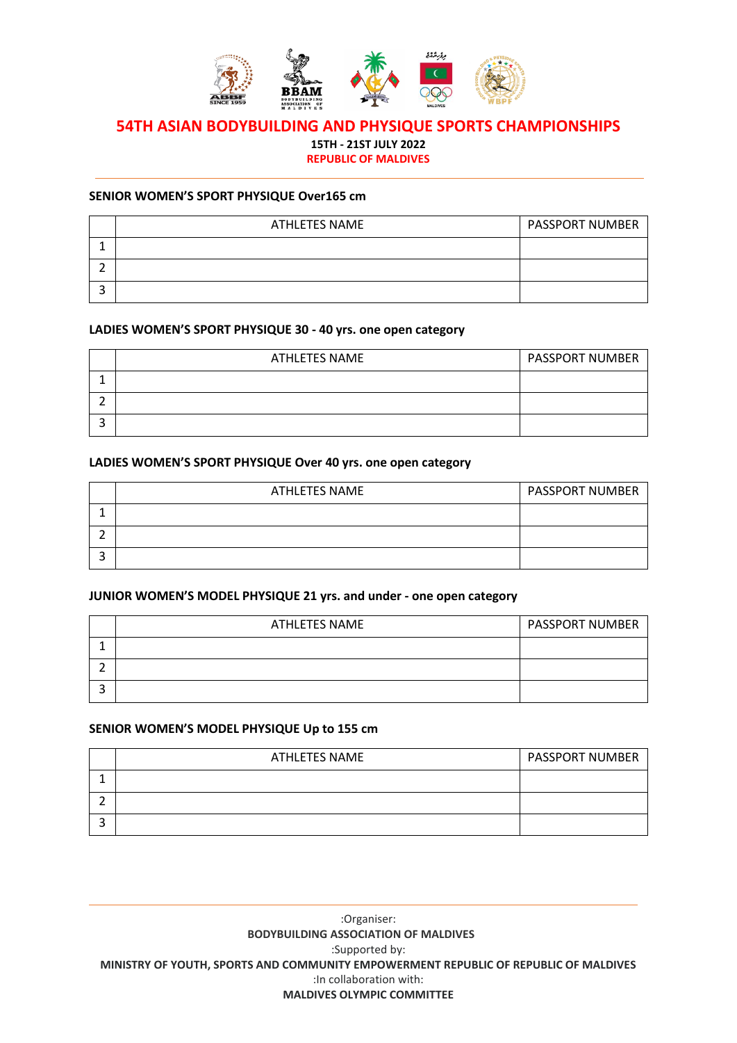

**15TH - 21ST JULY 2022**

**REPUBLIC OF MALDIVES**

#### **SENIOR WOMEN'S SPORT PHYSIQUE Over165 cm**

| <b>ATHLETES NAME</b> | <b>PASSPORT NUMBER</b> |
|----------------------|------------------------|
|                      |                        |
|                      |                        |
|                      |                        |

#### **LADIES WOMEN'S SPORT PHYSIQUE 30 - 40 yrs. one open category**

| <b>ATHLETES NAME</b> | <b>PASSPORT NUMBER</b> |
|----------------------|------------------------|
|                      |                        |
|                      |                        |
|                      |                        |

#### **LADIES WOMEN'S SPORT PHYSIQUE Over 40 yrs. one open category**

| ATHLETES NAME | <b>PASSPORT NUMBER</b> |
|---------------|------------------------|
|               |                        |
|               |                        |
|               |                        |

# **JUNIOR WOMEN'S MODEL PHYSIQUE 21 yrs. and under - one open category**

| ATHLETES NAME | <b>PASSPORT NUMBER</b> |
|---------------|------------------------|
|               |                        |
|               |                        |
|               |                        |

### **SENIOR WOMEN'S MODEL PHYSIQUE Up to 155 cm**

| ATHLETES NAME | <b>PASSPORT NUMBER</b> |
|---------------|------------------------|
|               |                        |
|               |                        |
|               |                        |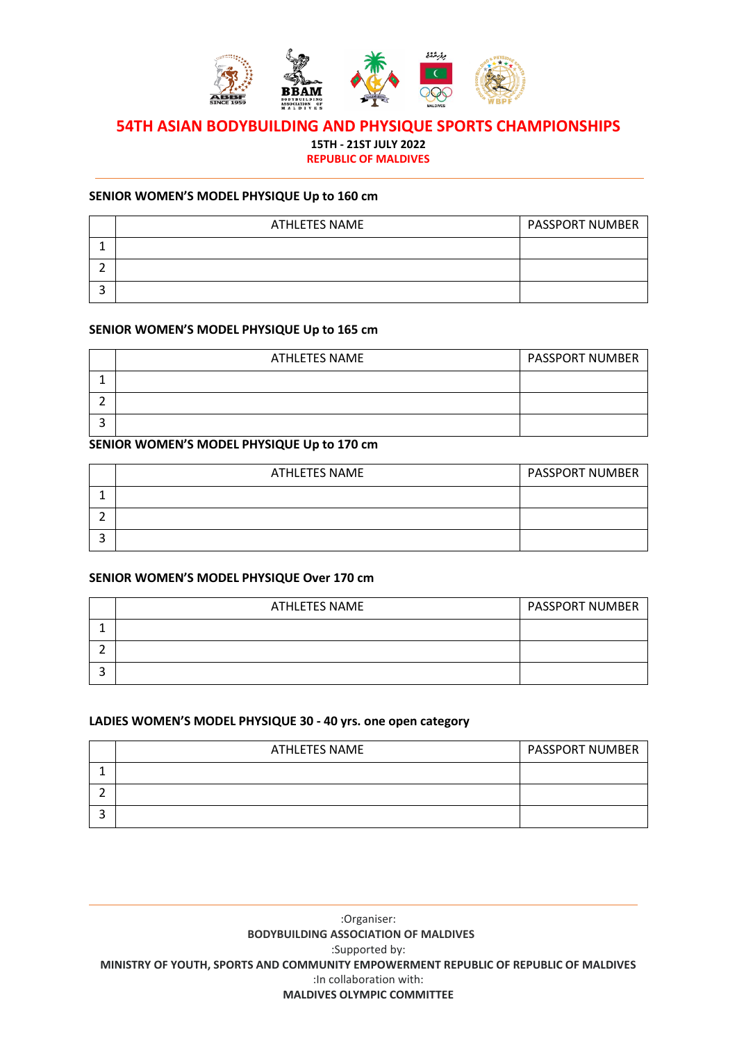

# **54TH ASIAN BODYBUILDING AND PHYSIQUE SPORTS CHAMPIONSHIPS 15TH - 21ST JULY 2022**

**REPUBLIC OF MALDIVES**

#### **SENIOR WOMEN'S MODEL PHYSIQUE Up to 160 cm**

| <b>ATHLETES NAME</b> | <b>PASSPORT NUMBER</b> |
|----------------------|------------------------|
|                      |                        |
|                      |                        |
|                      |                        |

#### **SENIOR WOMEN'S MODEL PHYSIQUE Up to 165 cm**

| ATHLETES NAME | <b>PASSPORT NUMBER</b> |
|---------------|------------------------|
|               |                        |
|               |                        |
|               |                        |

### **SENIOR WOMEN'S MODEL PHYSIQUE Up to 170 cm**

| ATHLETES NAME | <b>PASSPORT NUMBER</b> |
|---------------|------------------------|
|               |                        |
|               |                        |
|               |                        |

# **SENIOR WOMEN'S MODEL PHYSIQUE Over 170 cm**

| ATHLETES NAME | <b>PASSPORT NUMBER</b> |
|---------------|------------------------|
|               |                        |
|               |                        |
|               |                        |

#### **LADIES WOMEN'S MODEL PHYSIQUE 30 - 40 yrs. one open category**

| <b>ATHLETES NAME</b> | <b>PASSPORT NUMBER</b> |
|----------------------|------------------------|
|                      |                        |
|                      |                        |
|                      |                        |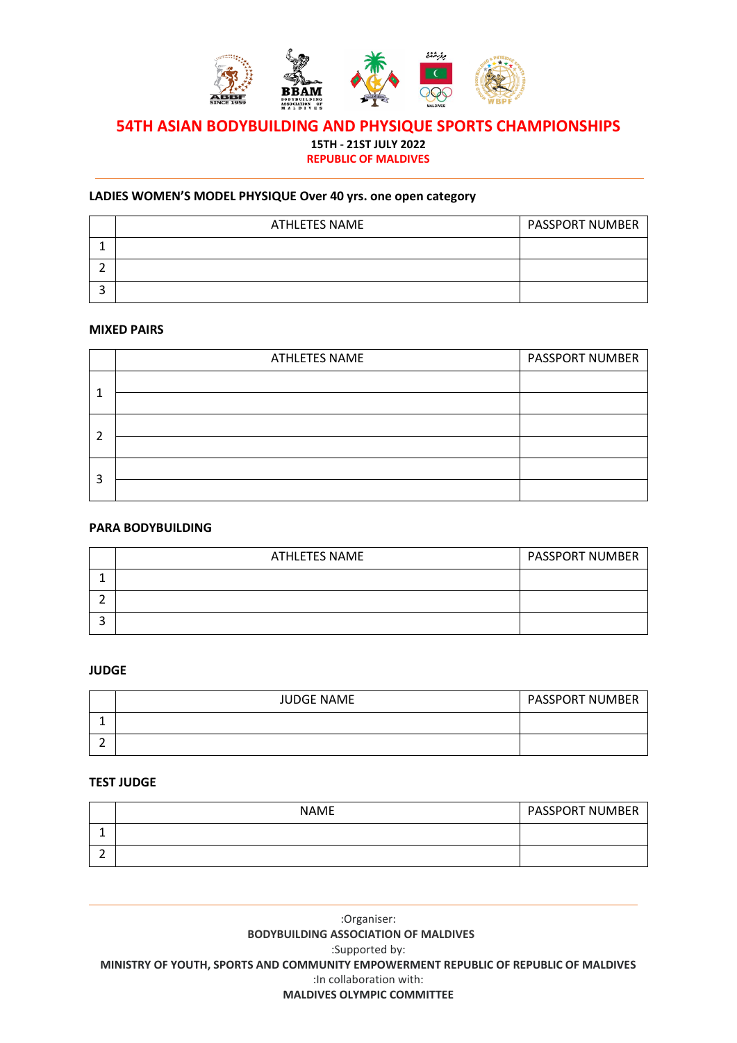

# **54TH ASIAN BODYBUILDING AND PHYSIQUE SPORTS CHAMPIONSHIPS 15TH - 21ST JULY 2022 REPUBLIC OF MALDIVES**

# **LADIES WOMEN'S MODEL PHYSIQUE Over 40 yrs. one open category**

| <b>ATHLETES NAME</b> | <b>PASSPORT NUMBER</b> |
|----------------------|------------------------|
|                      |                        |
|                      |                        |
|                      |                        |

#### **MIXED PAIRS**

|   | ATHLETES NAME | <b>PASSPORT NUMBER</b> |
|---|---------------|------------------------|
| 1 |               |                        |
|   |               |                        |
| 2 |               |                        |
|   |               |                        |
|   |               |                        |
| 3 |               |                        |

### **PARA BODYBUILDING**

| ATHLETES NAME | <b>PASSPORT NUMBER</b> |
|---------------|------------------------|
|               |                        |
|               |                        |
|               |                        |

#### **JUDGE**

| <b>JUDGE NAME</b> | <b>PASSPORT NUMBER</b> |
|-------------------|------------------------|
|                   |                        |
|                   |                        |

#### **TEST JUDGE**

| <b>NAME</b> | <b>PASSPORT NUMBER</b> |
|-------------|------------------------|
|             |                        |
|             |                        |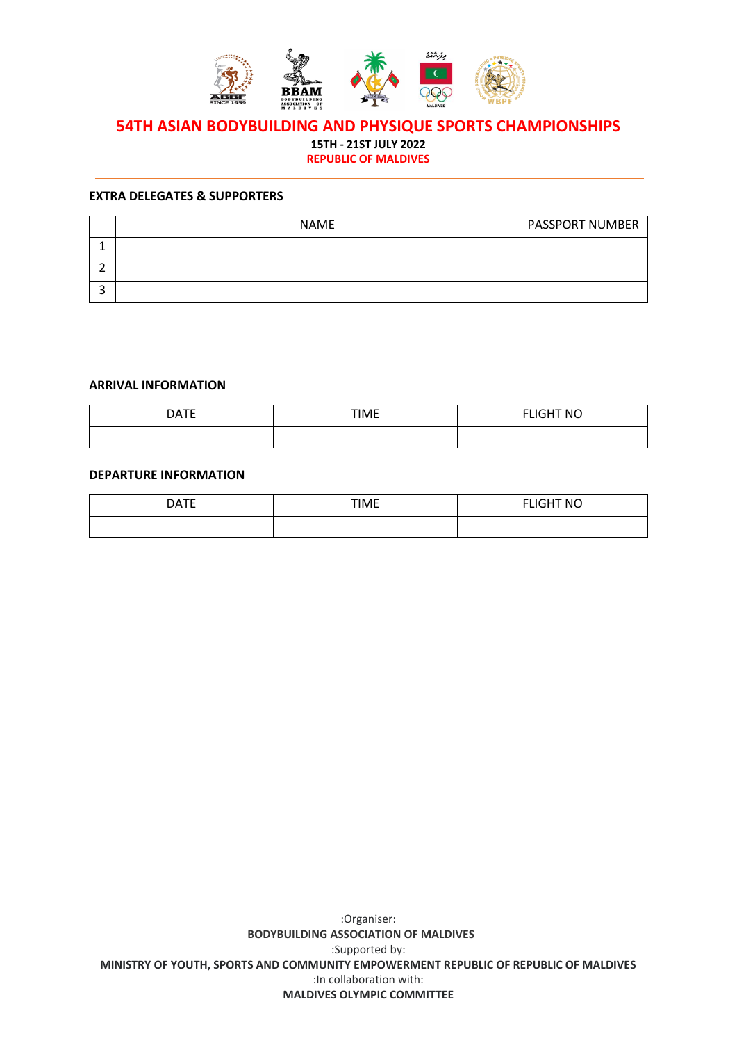

# **54TH ASIAN BODYBUILDING AND PHYSIQUE SPORTS CHAMPIONSHIPS 15TH - 21ST JULY 2022**

**REPUBLIC OF MALDIVES**

#### **EXTRA DELEGATES & SUPPORTERS**

| <b>NAME</b> | <b>PASSPORT NUMBER</b> |
|-------------|------------------------|
|             |                        |
|             |                        |
|             |                        |

#### **ARRIVAL INFORMATION**

| <b>DATE</b> | <b>TIME</b><br>. — | <b>FLIGHT NO</b> |
|-------------|--------------------|------------------|
|             |                    |                  |

#### **DEPARTURE INFORMATION**

| <b>DATF</b><br>- - - - - | <b>TIME</b> | FLIGHT NO |
|--------------------------|-------------|-----------|
|                          |             |           |